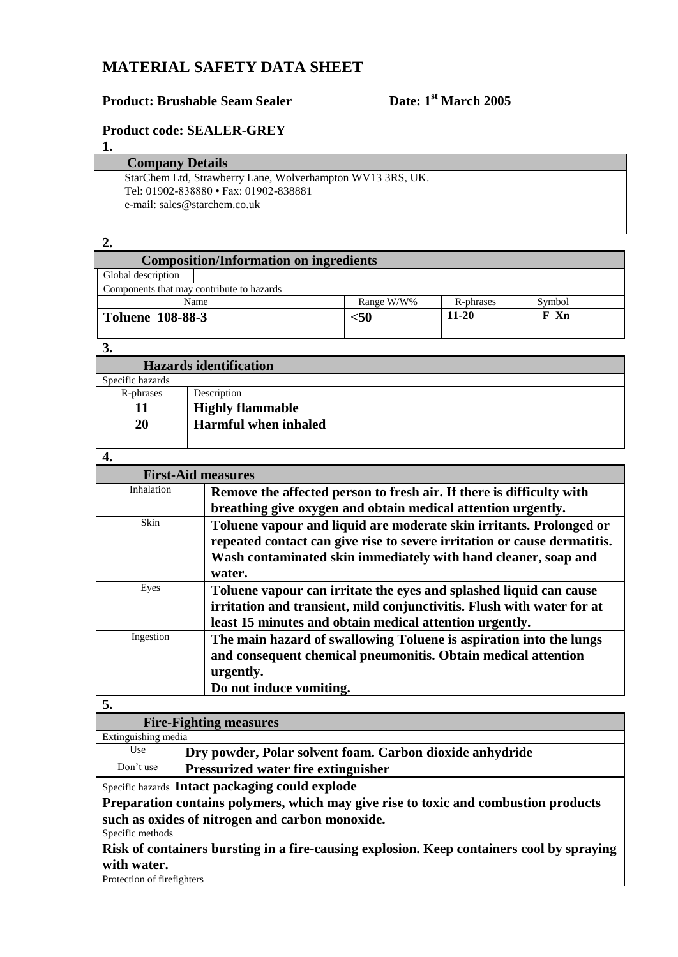## **MATERIAL SAFETY DATA SHEET**

# **Product: Brushable Seam Sealer Date: 1<sup>st</sup> March** 2005

#### **Product code: SEALER-GREY**

**1.**

#### **Company Details**

StarChem Ltd, Strawberry Lane, Wolverhampton WV13 3RS, UK. Tel: 01902-838880 • Fax: 01902-838881 e-mail: sales@starchem.co.uk

#### **2.**

| <b>Composition/Information on ingredients</b> |                                   |         |      |  |  |
|-----------------------------------------------|-----------------------------------|---------|------|--|--|
| Global description                            |                                   |         |      |  |  |
| Components that may contribute to hazards     |                                   |         |      |  |  |
| Name                                          | Symbol<br>Range W/W%<br>R-phrases |         |      |  |  |
| <b>Toluene 108-88-3</b>                       | $50$                              | $11-20$ | F Xn |  |  |

#### **3.**

| <b>Hazards identification</b> |                             |  |
|-------------------------------|-----------------------------|--|
| Specific hazards              |                             |  |
| R-phrases                     | Description                 |  |
| 11                            | <b>Highly flammable</b>     |  |
| 20                            | <b>Harmful when inhaled</b> |  |
|                               |                             |  |

#### **4.**

| <b>First-Aid measures</b> |                                                                          |  |  |
|---------------------------|--------------------------------------------------------------------------|--|--|
| Inhalation                | Remove the affected person to fresh air. If there is difficulty with     |  |  |
|                           | breathing give oxygen and obtain medical attention urgently.             |  |  |
| Skin                      | Toluene vapour and liquid are moderate skin irritants. Prolonged or      |  |  |
|                           | repeated contact can give rise to severe irritation or cause dermatitis. |  |  |
|                           | Wash contaminated skin immediately with hand cleaner, soap and           |  |  |
|                           | water.                                                                   |  |  |
| Eyes                      | Toluene vapour can irritate the eyes and splashed liquid can cause       |  |  |
|                           | irritation and transient, mild conjunctivitis. Flush with water for at   |  |  |
|                           | least 15 minutes and obtain medical attention urgently.                  |  |  |
| Ingestion                 | The main hazard of swallowing Toluene is aspiration into the lungs       |  |  |
|                           | and consequent chemical pneumonitis. Obtain medical attention            |  |  |
|                           | urgently.                                                                |  |  |
|                           | Do not induce vomiting.                                                  |  |  |

#### **5.**

| <b>Fire-Fighting measures</b>                                                             |                                                          |  |  |
|-------------------------------------------------------------------------------------------|----------------------------------------------------------|--|--|
| Extinguishing media                                                                       |                                                          |  |  |
| Use                                                                                       | Dry powder, Polar solvent foam. Carbon dioxide anhydride |  |  |
| Don't use                                                                                 | <b>Pressurized water fire extinguisher</b>               |  |  |
|                                                                                           | Specific hazards Intact packaging could explode          |  |  |
| Preparation contains polymers, which may give rise to toxic and combustion products       |                                                          |  |  |
| such as oxides of nitrogen and carbon monoxide.                                           |                                                          |  |  |
| Specific methods                                                                          |                                                          |  |  |
| Risk of containers bursting in a fire-causing explosion. Keep containers cool by spraying |                                                          |  |  |
| with water.                                                                               |                                                          |  |  |

Protection of firefighters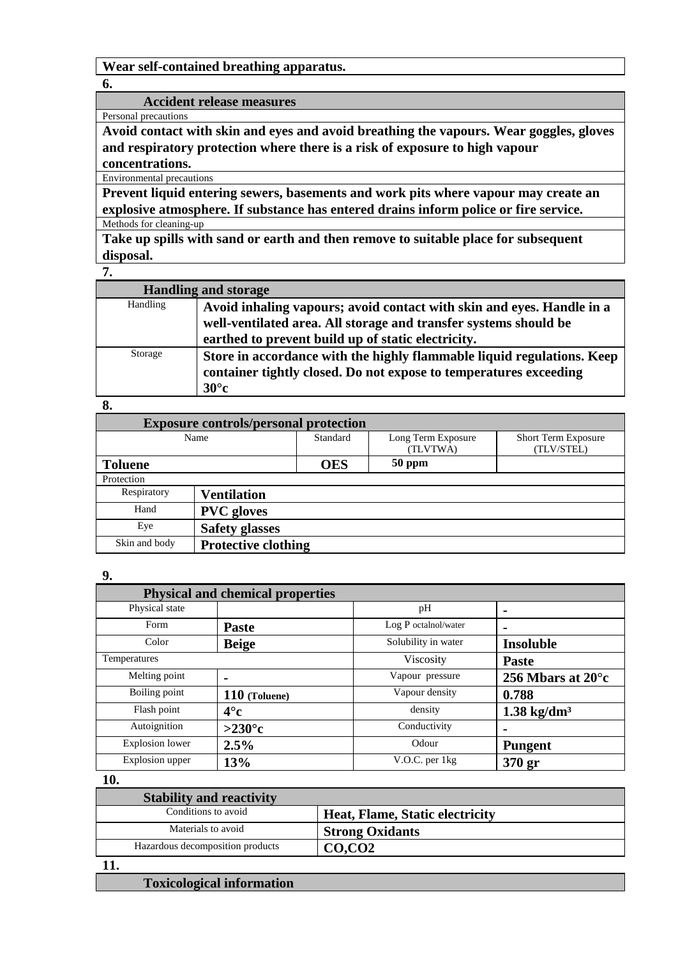**Wear self-contained breathing apparatus.**

**6.**

#### **Accident release measures**

Personal precautions

**Avoid contact with skin and eyes and avoid breathing the vapours. Wear goggles, gloves and respiratory protection where there is a risk of exposure to high vapour concentrations.**

Environmental precautions

**Prevent liquid entering sewers, basements and work pits where vapour may create an explosive atmosphere. If substance has entered drains inform police or fire service.**

Methods for cleaning-up

**Take up spills with sand or earth and then remove to suitable place for subsequent disposal.**

**7.**

|          | <b>Handling and storage</b>                                                                                                                                                                     |
|----------|-------------------------------------------------------------------------------------------------------------------------------------------------------------------------------------------------|
| Handling | Avoid inhaling vapours; avoid contact with skin and eyes. Handle in a<br>well-ventilated area. All storage and transfer systems should be<br>earthed to prevent build up of static electricity. |
| Storage  | Store in accordance with the highly flammable liquid regulations. Keep<br>container tightly closed. Do not expose to temperatures exceeding<br>$30^{\circ}$ c                                   |

#### **8.**

| <b>Exposure controls/personal protection</b> |                            |            |                    |                            |
|----------------------------------------------|----------------------------|------------|--------------------|----------------------------|
| Name                                         |                            | Standard   | Long Term Exposure | <b>Short Term Exposure</b> |
|                                              |                            |            | (TLVTWA)           | (TLV/STEL)                 |
| <b>Toluene</b>                               |                            | <b>OES</b> | 50 ppm             |                            |
| Protection                                   |                            |            |                    |                            |
| Respiratory                                  | <b>Ventilation</b>         |            |                    |                            |
| Hand                                         | <b>PVC</b> gloves          |            |                    |                            |
| Eye                                          | <b>Safety glasses</b>      |            |                    |                            |
| Skin and body                                | <b>Protective clothing</b> |            |                    |                            |

#### **9.**

| <b>Physical and chemical properties</b> |                 |                      |                             |
|-----------------------------------------|-----------------|----------------------|-----------------------------|
| Physical state                          |                 | pH                   | $\blacksquare$              |
| Form                                    | <b>Paste</b>    | Log P octalnol/water |                             |
| Color                                   | <b>Beige</b>    | Solubility in water  | <b>Insoluble</b>            |
| Temperatures                            |                 | Viscosity            | <b>Paste</b>                |
| Melting point                           |                 | Vapour pressure      | 256 Mbars at $20^{\circ}$ c |
| Boiling point                           | $110$ (Toluene) | Vapour density       | 0.788                       |
| Flash point                             | $4^\circ$ c     | density              | $1.38 \text{ kg/dm}^3$      |
| Autoignition                            | $>230^{\circ}c$ | Conductivity         |                             |
| <b>Explosion</b> lower                  | 2.5%            | Odour                | <b>Pungent</b>              |
| Explosion upper                         | 13%             | V.O.C. per 1kg       | 370 <sub>gr</sub>           |

**10.**

| <b>Stability and reactivity</b>  |                                 |
|----------------------------------|---------------------------------|
| Conditions to avoid              | Heat, Flame, Static electricity |
| Materials to avoid               | <b>Strong Oxidants</b>          |
| Hazardous decomposition products | CO, CO2                         |

#### **11.**

### **Toxicological information**